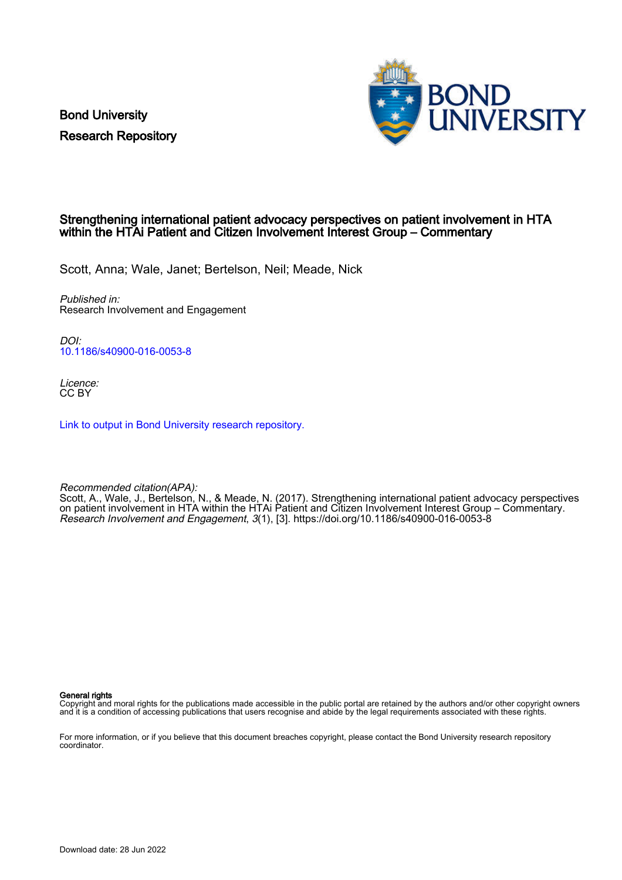Bond University Research Repository



# Strengthening international patient advocacy perspectives on patient involvement in HTA within the HTAi Patient and Citizen Involvement Interest Group – Commentary

Scott, Anna; Wale, Janet; Bertelson, Neil; Meade, Nick

Published in: Research Involvement and Engagement

DOI: [10.1186/s40900-016-0053-8](https://doi.org/10.1186/s40900-016-0053-8)

Licence: CC BY

[Link to output in Bond University research repository.](https://research.bond.edu.au/en/publications/704a844c-78ab-41e4-b688-e0d7cb4d3ab1)

Recommended citation(APA):

Scott, A., Wale, J., Bertelson, N., & Meade, N. (2017). Strengthening international patient advocacy perspectives on patient involvement in HTA within the HTAi Patient and Citizen Involvement Interest Group – Commentary. Research Involvement and Engagement, 3(1), [3]. <https://doi.org/10.1186/s40900-016-0053-8>

General rights

Copyright and moral rights for the publications made accessible in the public portal are retained by the authors and/or other copyright owners and it is a condition of accessing publications that users recognise and abide by the legal requirements associated with these rights.

For more information, or if you believe that this document breaches copyright, please contact the Bond University research repository coordinator.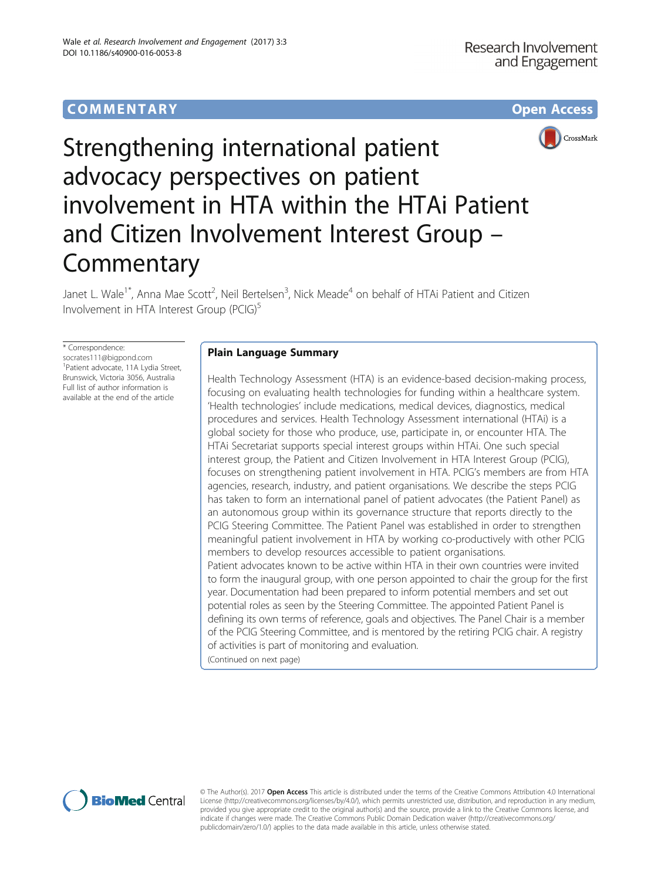# **COMMENTARY COMMENTARY COMMENTARY**



# Strengthening international patient advocacy perspectives on patient involvement in HTA within the HTAi Patient and Citizen Involvement Interest Group – **Commentary**

Janet L. Wale<sup>1\*</sup>, Anna Mae Scott<sup>2</sup>, Neil Bertelsen<sup>3</sup>, Nick Meade<sup>4</sup> on behalf of HTAi Patient and Citizen Involvement in HTA Interest Group (PCIG)<sup>5</sup>

\* Correspondence: [socrates111@bigpond.com](mailto:socrates111@bigpond.com) 1 Patient advocate, 11A Lydia Street, Brunswick, Victoria 3056, Australia Full list of author information is available at the end of the article

### Plain Language Summary

Health Technology Assessment (HTA) is an evidence-based decision-making process, focusing on evaluating health technologies for funding within a healthcare system. 'Health technologies' include medications, medical devices, diagnostics, medical procedures and services. Health Technology Assessment international (HTAi) is a global society for those who produce, use, participate in, or encounter HTA. The HTAi Secretariat supports special interest groups within HTAi. One such special interest group, the Patient and Citizen Involvement in HTA Interest Group (PCIG), focuses on strengthening patient involvement in HTA. PCIG's members are from HTA agencies, research, industry, and patient organisations. We describe the steps PCIG has taken to form an international panel of patient advocates (the Patient Panel) as an autonomous group within its governance structure that reports directly to the PCIG Steering Committee. The Patient Panel was established in order to strengthen meaningful patient involvement in HTA by working co-productively with other PCIG members to develop resources accessible to patient organisations. Patient advocates known to be active within HTA in their own countries were invited to form the inaugural group, with one person appointed to chair the group for the first year. Documentation had been prepared to inform potential members and set out potential roles as seen by the Steering Committee. The appointed Patient Panel is defining its own terms of reference, goals and objectives. The Panel Chair is a member of the PCIG Steering Committee, and is mentored by the retiring PCIG chair. A registry of activities is part of monitoring and evaluation.

(Continued on next page)



© The Author(s). 2017 Open Access This article is distributed under the terms of the Creative Commons Attribution 4.0 International License ([http://creativecommons.org/licenses/by/4.0/\)](http://creativecommons.org/licenses/by/4.0/), which permits unrestricted use, distribution, and reproduction in any medium, provided you give appropriate credit to the original author(s) and the source, provide a link to the Creative Commons license, and indicate if changes were made. The Creative Commons Public Domain Dedication waiver ([http://creativecommons.org/](http://creativecommons.org/publicdomain/zero/1.0/) [publicdomain/zero/1.0/\)](http://creativecommons.org/publicdomain/zero/1.0/) applies to the data made available in this article, unless otherwise stated.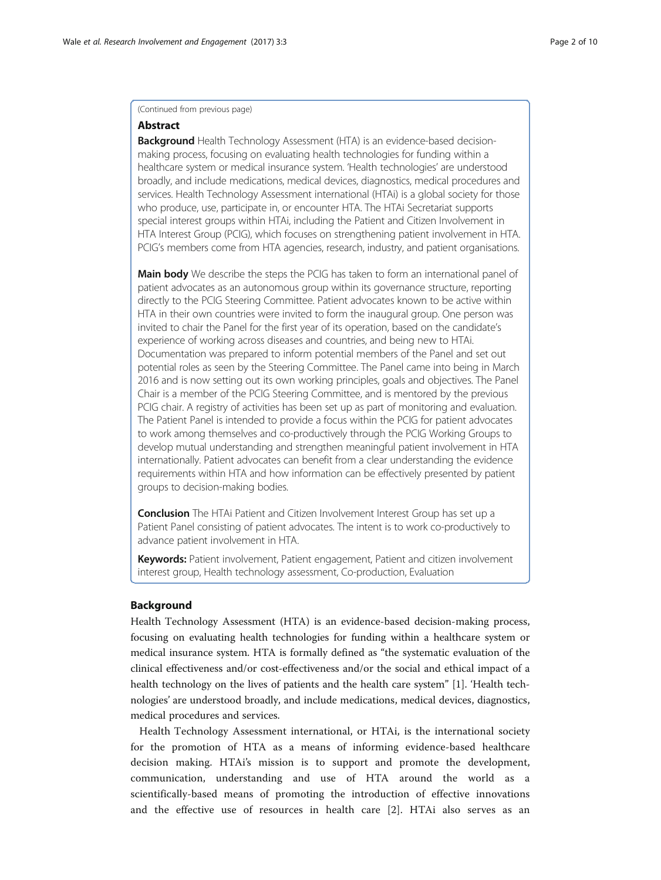#### (Continued from previous page)

#### Abstract

**Background** Health Technology Assessment (HTA) is an evidence-based decisionmaking process, focusing on evaluating health technologies for funding within a healthcare system or medical insurance system. 'Health technologies' are understood broadly, and include medications, medical devices, diagnostics, medical procedures and services. Health Technology Assessment international (HTAi) is a global society for those who produce, use, participate in, or encounter HTA. The HTAi Secretariat supports special interest groups within HTAi, including the Patient and Citizen Involvement in HTA Interest Group (PCIG), which focuses on strengthening patient involvement in HTA. PCIG's members come from HTA agencies, research, industry, and patient organisations.

Main body We describe the steps the PCIG has taken to form an international panel of patient advocates as an autonomous group within its governance structure, reporting directly to the PCIG Steering Committee. Patient advocates known to be active within HTA in their own countries were invited to form the inaugural group. One person was invited to chair the Panel for the first year of its operation, based on the candidate's experience of working across diseases and countries, and being new to HTAi. Documentation was prepared to inform potential members of the Panel and set out potential roles as seen by the Steering Committee. The Panel came into being in March 2016 and is now setting out its own working principles, goals and objectives. The Panel Chair is a member of the PCIG Steering Committee, and is mentored by the previous PCIG chair. A registry of activities has been set up as part of monitoring and evaluation. The Patient Panel is intended to provide a focus within the PCIG for patient advocates to work among themselves and co-productively through the PCIG Working Groups to develop mutual understanding and strengthen meaningful patient involvement in HTA internationally. Patient advocates can benefit from a clear understanding the evidence requirements within HTA and how information can be effectively presented by patient groups to decision-making bodies.

**Conclusion** The HTAi Patient and Citizen Involvement Interest Group has set up a Patient Panel consisting of patient advocates. The intent is to work co-productively to advance patient involvement in HTA.

Keywords: Patient involvement, Patient engagement, Patient and citizen involvement interest group, Health technology assessment, Co-production, Evaluation

### Background

Health Technology Assessment (HTA) is an evidence-based decision-making process, focusing on evaluating health technologies for funding within a healthcare system or medical insurance system. HTA is formally defined as "the systematic evaluation of the clinical effectiveness and/or cost-effectiveness and/or the social and ethical impact of a health technology on the lives of patients and the health care system" [[1\]](#page-9-0). 'Health technologies' are understood broadly, and include medications, medical devices, diagnostics, medical procedures and services.

Health Technology Assessment international, or HTAi, is the international society for the promotion of HTA as a means of informing evidence-based healthcare decision making. HTAi's mission is to support and promote the development, communication, understanding and use of HTA around the world as a scientifically-based means of promoting the introduction of effective innovations and the effective use of resources in health care [[2\]](#page-9-0). HTAi also serves as an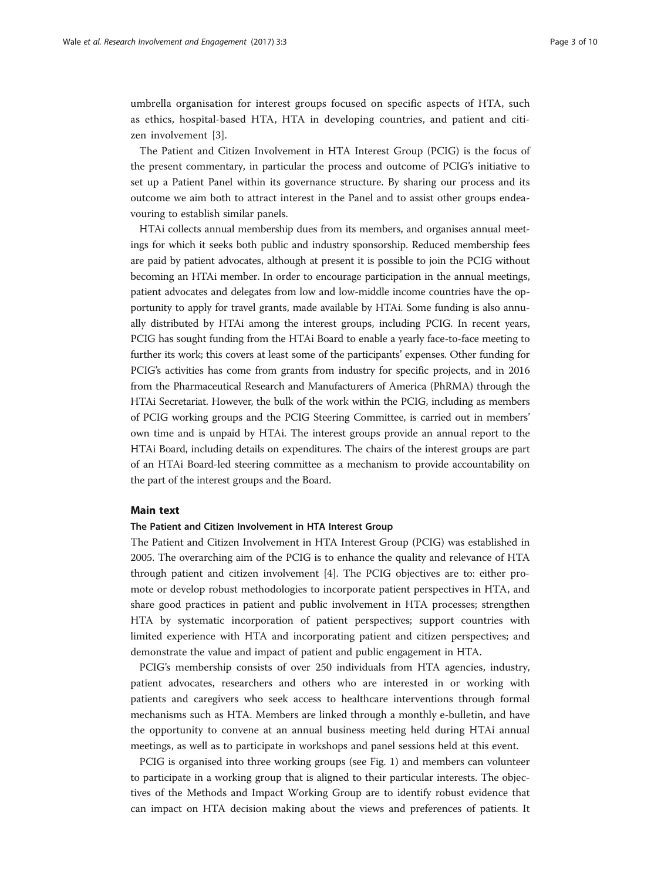umbrella organisation for interest groups focused on specific aspects of HTA, such as ethics, hospital-based HTA, HTA in developing countries, and patient and citizen involvement [\[3](#page-9-0)].

The Patient and Citizen Involvement in HTA Interest Group (PCIG) is the focus of the present commentary, in particular the process and outcome of PCIG's initiative to set up a Patient Panel within its governance structure. By sharing our process and its outcome we aim both to attract interest in the Panel and to assist other groups endeavouring to establish similar panels.

HTAi collects annual membership dues from its members, and organises annual meetings for which it seeks both public and industry sponsorship. Reduced membership fees are paid by patient advocates, although at present it is possible to join the PCIG without becoming an HTAi member. In order to encourage participation in the annual meetings, patient advocates and delegates from low and low-middle income countries have the opportunity to apply for travel grants, made available by HTAi. Some funding is also annually distributed by HTAi among the interest groups, including PCIG. In recent years, PCIG has sought funding from the HTAi Board to enable a yearly face-to-face meeting to further its work; this covers at least some of the participants' expenses. Other funding for PCIG's activities has come from grants from industry for specific projects, and in 2016 from the Pharmaceutical Research and Manufacturers of America (PhRMA) through the HTAi Secretariat. However, the bulk of the work within the PCIG, including as members of PCIG working groups and the PCIG Steering Committee, is carried out in members' own time and is unpaid by HTAi. The interest groups provide an annual report to the HTAi Board, including details on expenditures. The chairs of the interest groups are part of an HTAi Board-led steering committee as a mechanism to provide accountability on the part of the interest groups and the Board.

#### Main text

#### The Patient and Citizen Involvement in HTA Interest Group

The Patient and Citizen Involvement in HTA Interest Group (PCIG) was established in 2005. The overarching aim of the PCIG is to enhance the quality and relevance of HTA through patient and citizen involvement [[4\]](#page-9-0). The PCIG objectives are to: either promote or develop robust methodologies to incorporate patient perspectives in HTA, and share good practices in patient and public involvement in HTA processes; strengthen HTA by systematic incorporation of patient perspectives; support countries with limited experience with HTA and incorporating patient and citizen perspectives; and demonstrate the value and impact of patient and public engagement in HTA.

PCIG's membership consists of over 250 individuals from HTA agencies, industry, patient advocates, researchers and others who are interested in or working with patients and caregivers who seek access to healthcare interventions through formal mechanisms such as HTA. Members are linked through a monthly e-bulletin, and have the opportunity to convene at an annual business meeting held during HTAi annual meetings, as well as to participate in workshops and panel sessions held at this event.

PCIG is organised into three working groups (see Fig. [1](#page-4-0)) and members can volunteer to participate in a working group that is aligned to their particular interests. The objectives of the Methods and Impact Working Group are to identify robust evidence that can impact on HTA decision making about the views and preferences of patients. It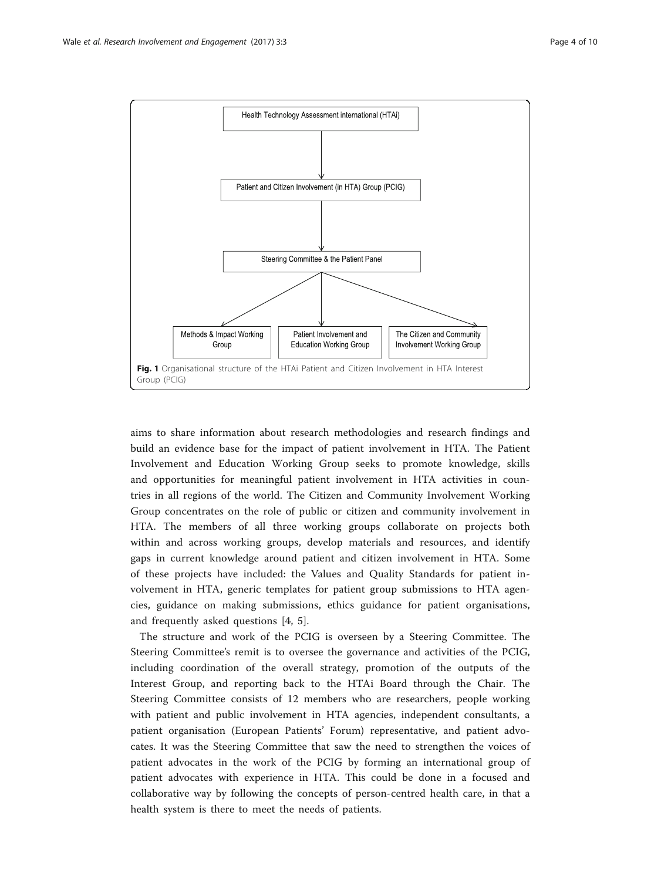<span id="page-4-0"></span>

aims to share information about research methodologies and research findings and build an evidence base for the impact of patient involvement in HTA. The Patient Involvement and Education Working Group seeks to promote knowledge, skills and opportunities for meaningful patient involvement in HTA activities in countries in all regions of the world. The Citizen and Community Involvement Working Group concentrates on the role of public or citizen and community involvement in HTA. The members of all three working groups collaborate on projects both within and across working groups, develop materials and resources, and identify gaps in current knowledge around patient and citizen involvement in HTA. Some of these projects have included: the Values and Quality Standards for patient involvement in HTA, generic templates for patient group submissions to HTA agencies, guidance on making submissions, ethics guidance for patient organisations, and frequently asked questions [[4](#page-9-0), [5](#page-9-0)].

The structure and work of the PCIG is overseen by a Steering Committee. The Steering Committee's remit is to oversee the governance and activities of the PCIG, including coordination of the overall strategy, promotion of the outputs of the Interest Group, and reporting back to the HTAi Board through the Chair. The Steering Committee consists of 12 members who are researchers, people working with patient and public involvement in HTA agencies, independent consultants, a patient organisation (European Patients' Forum) representative, and patient advocates. It was the Steering Committee that saw the need to strengthen the voices of patient advocates in the work of the PCIG by forming an international group of patient advocates with experience in HTA. This could be done in a focused and collaborative way by following the concepts of person-centred health care, in that a health system is there to meet the needs of patients.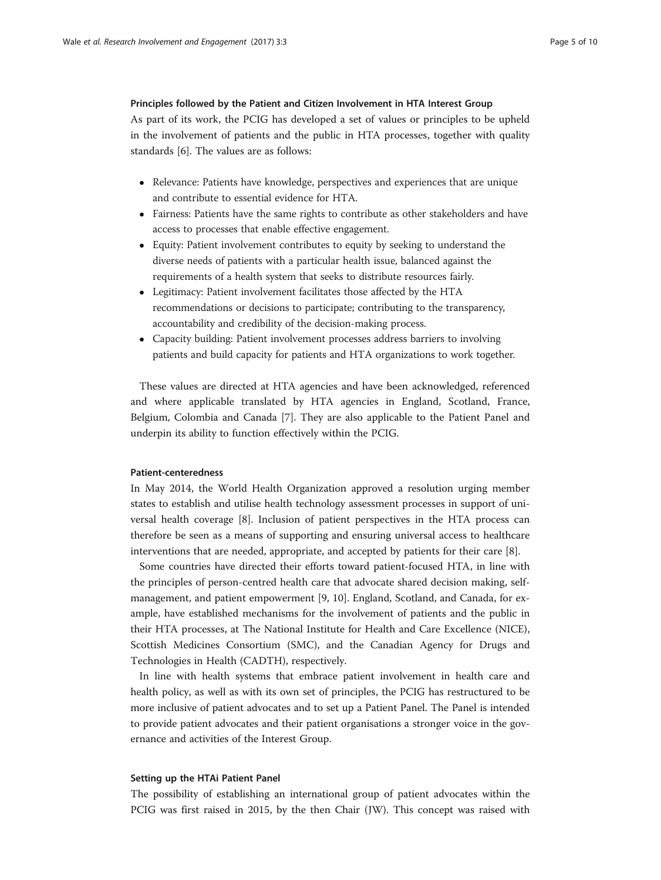#### Principles followed by the Patient and Citizen Involvement in HTA Interest Group

As part of its work, the PCIG has developed a set of values or principles to be upheld in the involvement of patients and the public in HTA processes, together with quality standards [[6\]](#page-9-0). The values are as follows:

- Relevance: Patients have knowledge, perspectives and experiences that are unique and contribute to essential evidence for HTA.
- Fairness: Patients have the same rights to contribute as other stakeholders and have access to processes that enable effective engagement.
- Equity: Patient involvement contributes to equity by seeking to understand the diverse needs of patients with a particular health issue, balanced against the requirements of a health system that seeks to distribute resources fairly.
- Legitimacy: Patient involvement facilitates those affected by the HTA recommendations or decisions to participate; contributing to the transparency, accountability and credibility of the decision-making process.
- Capacity building: Patient involvement processes address barriers to involving patients and build capacity for patients and HTA organizations to work together.

These values are directed at HTA agencies and have been acknowledged, referenced and where applicable translated by HTA agencies in England, Scotland, France, Belgium, Colombia and Canada [[7\]](#page-10-0). They are also applicable to the Patient Panel and underpin its ability to function effectively within the PCIG.

#### Patient-centeredness

In May 2014, the World Health Organization approved a resolution urging member states to establish and utilise health technology assessment processes in support of universal health coverage [\[8\]](#page-10-0). Inclusion of patient perspectives in the HTA process can therefore be seen as a means of supporting and ensuring universal access to healthcare interventions that are needed, appropriate, and accepted by patients for their care [[8\]](#page-10-0).

Some countries have directed their efforts toward patient-focused HTA, in line with the principles of person-centred health care that advocate shared decision making, selfmanagement, and patient empowerment [[9, 10\]](#page-10-0). England, Scotland, and Canada, for example, have established mechanisms for the involvement of patients and the public in their HTA processes, at The National Institute for Health and Care Excellence (NICE), Scottish Medicines Consortium (SMC), and the Canadian Agency for Drugs and Technologies in Health (CADTH), respectively.

In line with health systems that embrace patient involvement in health care and health policy, as well as with its own set of principles, the PCIG has restructured to be more inclusive of patient advocates and to set up a Patient Panel. The Panel is intended to provide patient advocates and their patient organisations a stronger voice in the governance and activities of the Interest Group.

#### Setting up the HTAi Patient Panel

The possibility of establishing an international group of patient advocates within the PCIG was first raised in 2015, by the then Chair (JW). This concept was raised with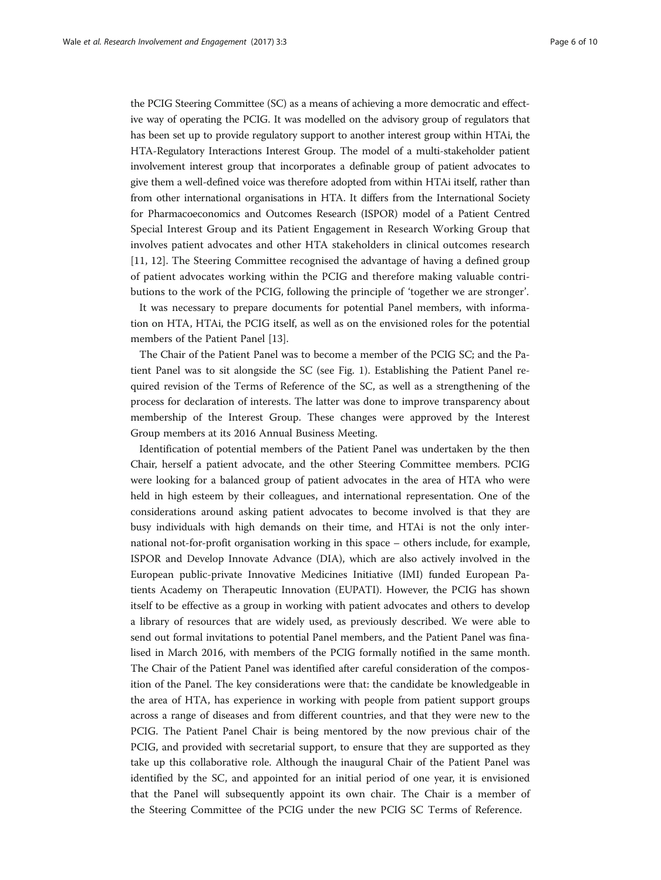the PCIG Steering Committee (SC) as a means of achieving a more democratic and effective way of operating the PCIG. It was modelled on the advisory group of regulators that has been set up to provide regulatory support to another interest group within HTAi, the HTA-Regulatory Interactions Interest Group. The model of a multi-stakeholder patient involvement interest group that incorporates a definable group of patient advocates to give them a well-defined voice was therefore adopted from within HTAi itself, rather than from other international organisations in HTA. It differs from the International Society for Pharmacoeconomics and Outcomes Research (ISPOR) model of a Patient Centred Special Interest Group and its Patient Engagement in Research Working Group that involves patient advocates and other HTA stakeholders in clinical outcomes research [[11, 12](#page-10-0)]. The Steering Committee recognised the advantage of having a defined group of patient advocates working within the PCIG and therefore making valuable contributions to the work of the PCIG, following the principle of 'together we are stronger'.

It was necessary to prepare documents for potential Panel members, with information on HTA, HTAi, the PCIG itself, as well as on the envisioned roles for the potential members of the Patient Panel [\[13\]](#page-10-0).

The Chair of the Patient Panel was to become a member of the PCIG SC; and the Patient Panel was to sit alongside the SC (see Fig. [1](#page-4-0)). Establishing the Patient Panel required revision of the Terms of Reference of the SC, as well as a strengthening of the process for declaration of interests. The latter was done to improve transparency about membership of the Interest Group. These changes were approved by the Interest Group members at its 2016 Annual Business Meeting.

Identification of potential members of the Patient Panel was undertaken by the then Chair, herself a patient advocate, and the other Steering Committee members. PCIG were looking for a balanced group of patient advocates in the area of HTA who were held in high esteem by their colleagues, and international representation. One of the considerations around asking patient advocates to become involved is that they are busy individuals with high demands on their time, and HTAi is not the only international not-for-profit organisation working in this space – others include, for example, ISPOR and Develop Innovate Advance (DIA), which are also actively involved in the European public-private Innovative Medicines Initiative (IMI) funded European Patients Academy on Therapeutic Innovation (EUPATI). However, the PCIG has shown itself to be effective as a group in working with patient advocates and others to develop a library of resources that are widely used, as previously described. We were able to send out formal invitations to potential Panel members, and the Patient Panel was finalised in March 2016, with members of the PCIG formally notified in the same month. The Chair of the Patient Panel was identified after careful consideration of the composition of the Panel. The key considerations were that: the candidate be knowledgeable in the area of HTA, has experience in working with people from patient support groups across a range of diseases and from different countries, and that they were new to the PCIG. The Patient Panel Chair is being mentored by the now previous chair of the PCIG, and provided with secretarial support, to ensure that they are supported as they take up this collaborative role. Although the inaugural Chair of the Patient Panel was identified by the SC, and appointed for an initial period of one year, it is envisioned that the Panel will subsequently appoint its own chair. The Chair is a member of the Steering Committee of the PCIG under the new PCIG SC Terms of Reference.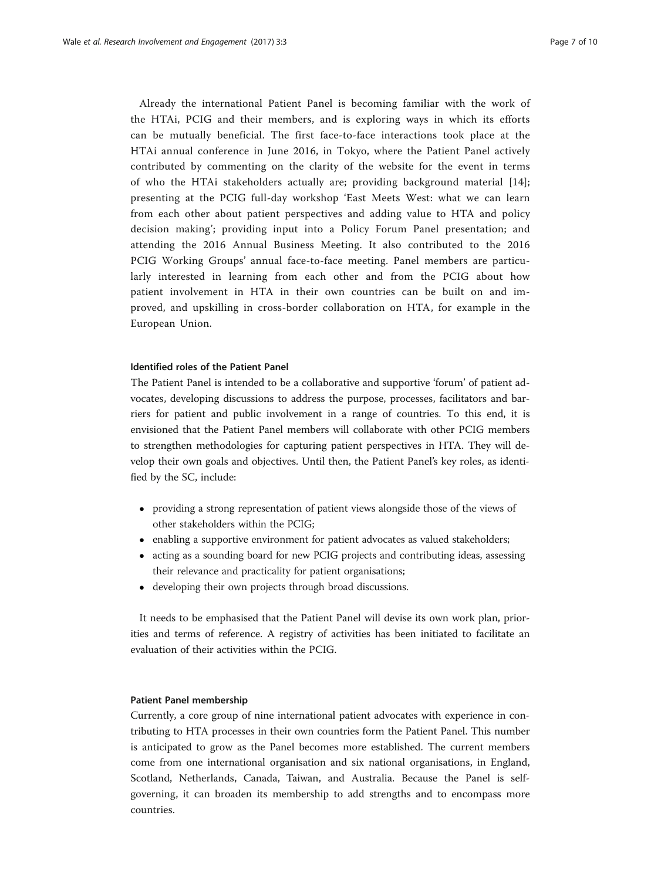Already the international Patient Panel is becoming familiar with the work of the HTAi, PCIG and their members, and is exploring ways in which its efforts can be mutually beneficial. The first face-to-face interactions took place at the HTAi annual conference in June 2016, in Tokyo, where the Patient Panel actively contributed by commenting on the clarity of the website for the event in terms of who the HTAi stakeholders actually are; providing background material [[14](#page-10-0)]; presenting at the PCIG full-day workshop 'East Meets West: what we can learn from each other about patient perspectives and adding value to HTA and policy decision making'; providing input into a Policy Forum Panel presentation; and attending the 2016 Annual Business Meeting. It also contributed to the 2016 PCIG Working Groups' annual face-to-face meeting. Panel members are particularly interested in learning from each other and from the PCIG about how patient involvement in HTA in their own countries can be built on and improved, and upskilling in cross-border collaboration on HTA, for example in the European Union.

#### Identified roles of the Patient Panel

The Patient Panel is intended to be a collaborative and supportive 'forum' of patient advocates, developing discussions to address the purpose, processes, facilitators and barriers for patient and public involvement in a range of countries. To this end, it is envisioned that the Patient Panel members will collaborate with other PCIG members to strengthen methodologies for capturing patient perspectives in HTA. They will develop their own goals and objectives. Until then, the Patient Panel's key roles, as identified by the SC, include:

- providing a strong representation of patient views alongside those of the views of other stakeholders within the PCIG;
- enabling a supportive environment for patient advocates as valued stakeholders;
- acting as a sounding board for new PCIG projects and contributing ideas, assessing their relevance and practicality for patient organisations;
- developing their own projects through broad discussions.

It needs to be emphasised that the Patient Panel will devise its own work plan, priorities and terms of reference. A registry of activities has been initiated to facilitate an evaluation of their activities within the PCIG.

#### Patient Panel membership

Currently, a core group of nine international patient advocates with experience in contributing to HTA processes in their own countries form the Patient Panel. This number is anticipated to grow as the Panel becomes more established. The current members come from one international organisation and six national organisations, in England, Scotland, Netherlands, Canada, Taiwan, and Australia. Because the Panel is selfgoverning, it can broaden its membership to add strengths and to encompass more countries.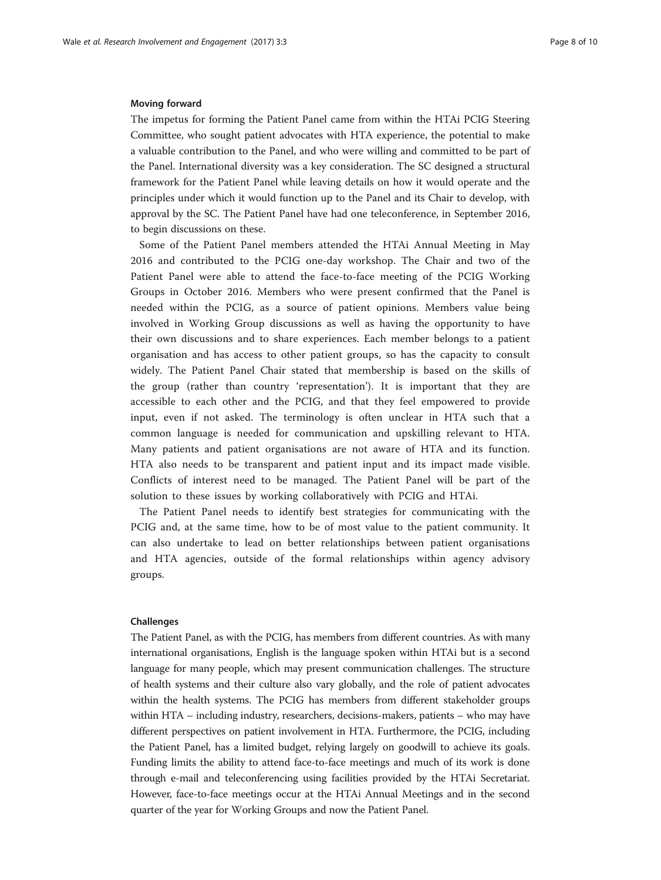#### Moving forward

The impetus for forming the Patient Panel came from within the HTAi PCIG Steering Committee, who sought patient advocates with HTA experience, the potential to make a valuable contribution to the Panel, and who were willing and committed to be part of the Panel. International diversity was a key consideration. The SC designed a structural framework for the Patient Panel while leaving details on how it would operate and the principles under which it would function up to the Panel and its Chair to develop, with approval by the SC. The Patient Panel have had one teleconference, in September 2016, to begin discussions on these.

Some of the Patient Panel members attended the HTAi Annual Meeting in May 2016 and contributed to the PCIG one-day workshop. The Chair and two of the Patient Panel were able to attend the face-to-face meeting of the PCIG Working Groups in October 2016. Members who were present confirmed that the Panel is needed within the PCIG, as a source of patient opinions. Members value being involved in Working Group discussions as well as having the opportunity to have their own discussions and to share experiences. Each member belongs to a patient organisation and has access to other patient groups, so has the capacity to consult widely. The Patient Panel Chair stated that membership is based on the skills of the group (rather than country 'representation'). It is important that they are accessible to each other and the PCIG, and that they feel empowered to provide input, even if not asked. The terminology is often unclear in HTA such that a common language is needed for communication and upskilling relevant to HTA. Many patients and patient organisations are not aware of HTA and its function. HTA also needs to be transparent and patient input and its impact made visible. Conflicts of interest need to be managed. The Patient Panel will be part of the solution to these issues by working collaboratively with PCIG and HTAi.

The Patient Panel needs to identify best strategies for communicating with the PCIG and, at the same time, how to be of most value to the patient community. It can also undertake to lead on better relationships between patient organisations and HTA agencies, outside of the formal relationships within agency advisory groups.

#### Challenges

The Patient Panel, as with the PCIG, has members from different countries. As with many international organisations, English is the language spoken within HTAi but is a second language for many people, which may present communication challenges. The structure of health systems and their culture also vary globally, and the role of patient advocates within the health systems. The PCIG has members from different stakeholder groups within HTA – including industry, researchers, decisions-makers, patients – who may have different perspectives on patient involvement in HTA. Furthermore, the PCIG, including the Patient Panel, has a limited budget, relying largely on goodwill to achieve its goals. Funding limits the ability to attend face-to-face meetings and much of its work is done through e-mail and teleconferencing using facilities provided by the HTAi Secretariat. However, face-to-face meetings occur at the HTAi Annual Meetings and in the second quarter of the year for Working Groups and now the Patient Panel.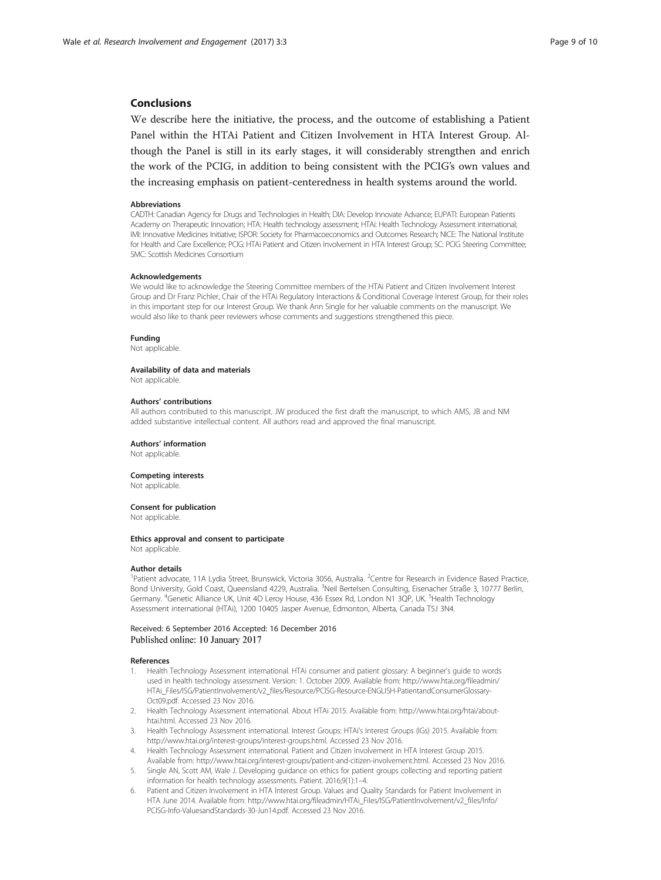#### <span id="page-9-0"></span>Conclusions

We describe here the initiative, the process, and the outcome of establishing a Patient Panel within the HTAi Patient and Citizen Involvement in HTA Interest Group. Although the Panel is still in its early stages, it will considerably strengthen and enrich the work of the PCIG, in addition to being consistent with the PCIG's own values and the increasing emphasis on patient-centeredness in health systems around the world.

#### Abbreviations

CADTH: Canadian Agency for Drugs and Technologies in Health; DIA: Develop Innovate Advance; EUPATI: European Patients Academy on Therapeutic Innovation; HTA: Health technology assessment; HTAi: Health Technology Assessment international; IMI: Innovative Medicines Initiative; ISPOR: Society for Pharmacoeconomics and Outcomes Research; NICE: The National Institute for Health and Care Excellence; PCIG: HTAi Patient and Citizen Involvement in HTA Interest Group; SC: PCIG Steering Committee; SMC: Scottish Medicines Consortium

#### Acknowledgements

We would like to acknowledge the Steering Committee members of the HTAi Patient and Citizen Involvement Interest Group and Dr Franz Pichler, Chair of the HTAi Regulatory Interactions & Conditional Coverage Interest Group, for their roles in this important step for our Interest Group. We thank Ann Single for her valuable comments on the manuscript. We would also like to thank peer reviewers whose comments and suggestions strengthened this piece.

Funding

Not applicable.

#### Availability of data and materials

Not applicable.

#### Authors' contributions

All authors contributed to this manuscript. JW produced the first draft the manuscript, to which AMS, JB and NM added substantive intellectual content. All authors read and approved the final manuscript.

Authors' information Not applicable.

Competing interests Not applicable.

#### Consent for publication

Not applicable.

#### Ethics approval and consent to participate

Not applicable.

#### Author details

<sup>1</sup>Patient advocate, 11A Lydia Street, Brunswick, Victoria 3056, Australia. <sup>2</sup>Centre for Research in Evidence Based Practice, Bond University, Gold Coast, Queensland 4229, Australia. <sup>3</sup>Neil Bertelsen Consulting, Eisenacher Straße 3, 10777 Berlin Germany. <sup>4</sup>Genetic Alliance UK, Unit 4D Leroy House, 436 Essex Rd, London N1 3QP, UK. <sup>5</sup>Health Technology Assessment international (HTAi), 1200 10405 Jasper Avenue, Edmonton, Alberta, Canada T5J 3N4.

Received: 6 September 2016 Accepted: 16 December 2016 Published online: 10 January 2017

#### References

- 1. Health Technology Assessment international. HTAi consumer and patient glossary: A beginner's guide to words used in health technology assessment. Version: 1. October 2009. Available from: [http://www.htai.org/fileadmin/](http://www.htai.org/fileadmin/HTAi_Files/ISG/PatientInvolvement/v2_files/Resource/PCISG-Resource-ENGLISH-PatientandConsumerGlossary-Oct09.pdf) [HTAi\\_Files/ISG/PatientInvolvement/v2\\_files/Resource/PCISG-Resource-ENGLISH-PatientandConsumerGlossary-](http://www.htai.org/fileadmin/HTAi_Files/ISG/PatientInvolvement/v2_files/Resource/PCISG-Resource-ENGLISH-PatientandConsumerGlossary-Oct09.pdf)[Oct09.pdf](http://www.htai.org/fileadmin/HTAi_Files/ISG/PatientInvolvement/v2_files/Resource/PCISG-Resource-ENGLISH-PatientandConsumerGlossary-Oct09.pdf). Accessed 23 Nov 2016.
- 2. Health Technology Assessment international. About HTAi 2015. Available from: [http://www.htai.org/htai/about](http://www.htai.org/htai/about-htai.html)[htai.html.](http://www.htai.org/htai/about-htai.html) Accessed 23 Nov 2016.
- 3. Health Technology Assessment international. Interest Groups: HTAi's Interest Groups (IGs) 2015. Available from: [http://www.htai.org/interest-groups/interest-groups.html.](http://www.htai.org/interest-groups/interest-groups.html) Accessed 23 Nov 2016.
- 4. Health Technology Assessment international. Patient and Citizen Involvement in HTA Interest Group 2015. Available from:<http://www.htai.org/interest-groups/patient-and-citizen-involvement.html>. Accessed 23 Nov 2016.
- 5. Single AN, Scott AM, Wale J. Developing guidance on ethics for patient groups collecting and reporting patient information for health technology assessments. Patient. 2016;9(1):1–4.
- 6. Patient and Citizen Involvement in HTA Interest Group. Values and Quality Standards for Patient Involvement in HTA June 2014. Available from: [http://www.htai.org/fileadmin/HTAi\\_Files/ISG/PatientInvolvement/v2\\_files/Info/](http://www.htai.org/fileadmin/HTAi_Files/ISG/PatientInvolvement/v2_files/Info/PCISG-Info-ValuesandStandards-30-Jun14.pdf) [PCISG-Info-ValuesandStandards-30-Jun14.pdf.](http://www.htai.org/fileadmin/HTAi_Files/ISG/PatientInvolvement/v2_files/Info/PCISG-Info-ValuesandStandards-30-Jun14.pdf) Accessed 23 Nov 2016.